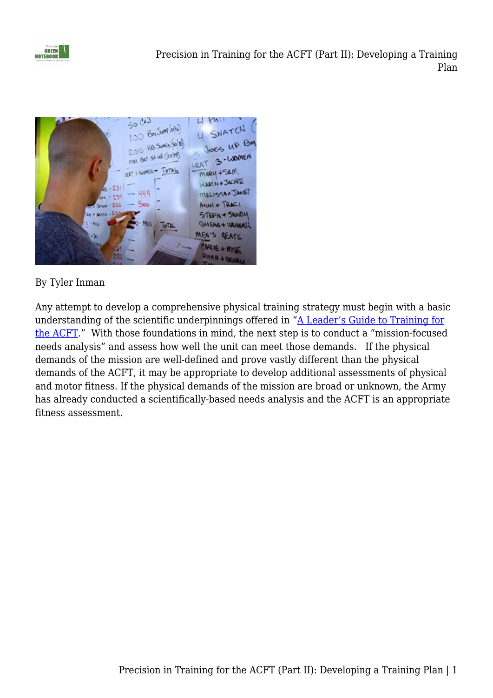



## By Tyler Inman

Any attempt to develop a comprehensive physical training strategy must begin with a basic understanding of the scientific underpinnings offered in ["A Leader's Guide to Training for](https://fromthegreennotebook.com/2019/02/04/a-leaders-guide-to-training-for-the-acft-part-1/) [the ACFT](https://fromthegreennotebook.com/2019/02/04/a-leaders-guide-to-training-for-the-acft-part-1/)." With those foundations in mind, the next step is to conduct a "mission-focused needs analysis" and assess how well the unit can meet those demands. If the physical demands of the mission are well-defined and prove vastly different than the physical demands of the ACFT, it may be appropriate to develop additional assessments of physical and motor fitness. If the physical demands of the mission are broad or unknown, the Army has already conducted a scientifically-based needs analysis and the ACFT is an appropriate fitness assessment.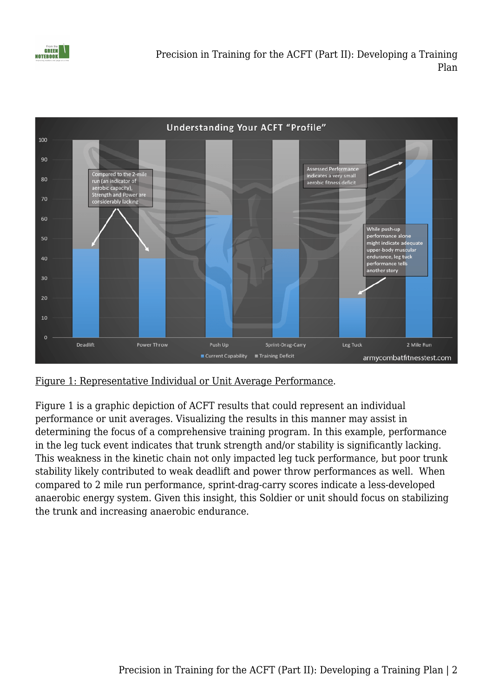

Precision in Training for the ACFT (Part II): Developing a Training Plan



Figure 1: Representative Individual or Unit Average Performance.

Figure 1 is a graphic depiction of ACFT results that could represent an individual performance or unit averages. Visualizing the results in this manner may assist in determining the focus of a comprehensive training program. In this example, performance in the leg tuck event indicates that trunk strength and/or stability is significantly lacking. This weakness in the kinetic chain not only impacted leg tuck performance, but poor trunk stability likely contributed to weak deadlift and power throw performances as well. When compared to 2 mile run performance, sprint-drag-carry scores indicate a less-developed anaerobic energy system. Given this insight, this Soldier or unit should focus on stabilizing the trunk and increasing anaerobic endurance.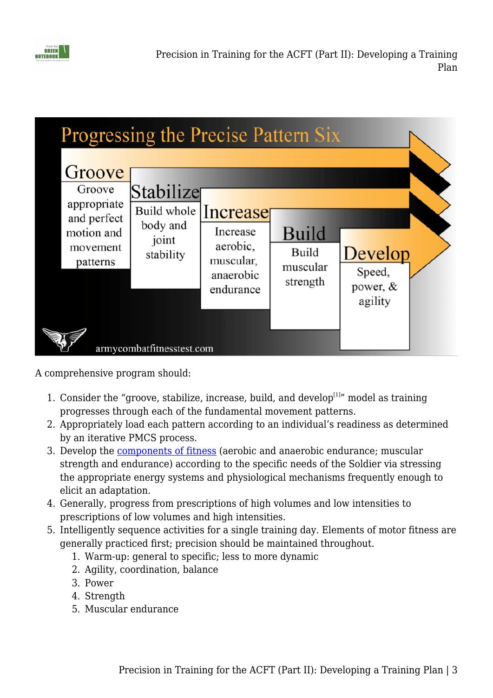



A comprehensive program should:

- 1. Consider the "groove, stabilize, increase, build, and develop $[1]$ " model as training progresses through each of the fundamental movement patterns.
- 2. Appropriately load each pattern according to an individual's readiness as determined by an iterative PMCS process.
- 3. Develop the [components of fitness](https://www.armycombatfitnesstest.com/specificity) (aerobic and anaerobic endurance; muscular strength and endurance) according to the specific needs of the Soldier via stressing the appropriate energy systems and physiological mechanisms frequently enough to elicit an adaptation.
- 4. Generally, progress from prescriptions of high volumes and low intensities to prescriptions of low volumes and high intensities.
- 5. Intelligently sequence activities for a single training day. Elements of motor fitness are generally practiced first; precision should be maintained throughout.
	- 1. Warm-up: general to specific; less to more dynamic
	- 2. Agility, coordination, balance
	- 3. Power
	- 4. Strength
	- 5. Muscular endurance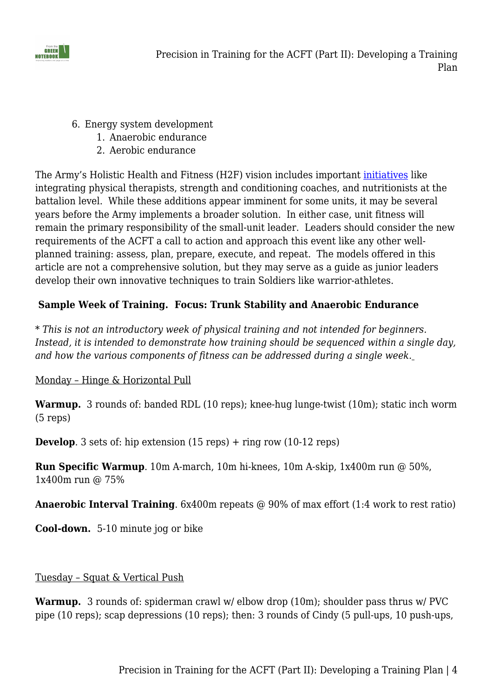

- 6. Energy system development
	- 1. Anaerobic endurance
	- 2. Aerobic endurance

The Army's Holistic Health and Fitness (H2F) vision includes important *initiatives* like integrating physical therapists, strength and conditioning coaches, and nutritionists at the battalion level. While these additions appear imminent for some units, it may be several years before the Army implements a broader solution. In either case, unit fitness will remain the primary responsibility of the small-unit leader. Leaders should consider the new requirements of the ACFT a call to action and approach this event like any other wellplanned training: assess, plan, prepare, execute, and repeat. The models offered in this article are not a comprehensive solution, but they may serve as a guide as junior leaders develop their own innovative techniques to train Soldiers like warrior-athletes.

## **Sample Week of Training. Focus: Trunk Stability and Anaerobic Endurance**

*\* This is not an introductory week of physical training and not intended for beginners. Instead, it is intended to demonstrate how training should be sequenced within a single day, and how the various components of fitness can be addressed during a single week.*

### Monday – Hinge & Horizontal Pull

**Warmup.** 3 rounds of: banded RDL (10 reps); knee-hug lunge-twist (10m); static inch worm (5 reps)

**Develop.** 3 sets of: hip extension (15 reps) + ring row (10-12 reps)

**Run Specific Warmup**. 10m A-march, 10m hi-knees, 10m A-skip, 1x400m run @ 50%, 1x400m run @ 75%

**Anaerobic Interval Training**. 6x400m repeats @ 90% of max effort (1:4 work to rest ratio)

**Cool-down.** 5-10 minute jog or bike

### Tuesday – Squat & Vertical Push

**Warmup.** 3 rounds of: spiderman crawl w/ elbow drop (10m); shoulder pass thrus w/ PVC pipe (10 reps); scap depressions (10 reps); then: 3 rounds of Cindy (5 pull-ups, 10 push-ups,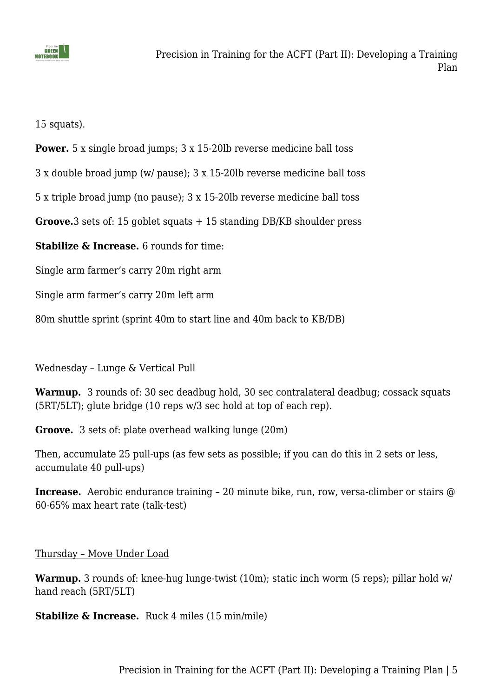

15 squats).

**Power.** 5 x single broad jumps; 3 x 15-20lb reverse medicine ball toss

3 x double broad jump (w/ pause); 3 x 15-20lb reverse medicine ball toss

5 x triple broad jump (no pause); 3 x 15-20lb reverse medicine ball toss

**Groove.**3 sets of: 15 goblet squats + 15 standing DB/KB shoulder press

**Stabilize & Increase.** 6 rounds for time:

Single arm farmer's carry 20m right arm

Single arm farmer's carry 20m left arm

80m shuttle sprint (sprint 40m to start line and 40m back to KB/DB)

#### Wednesday – Lunge & Vertical Pull

**Warmup.** 3 rounds of: 30 sec deadbug hold, 30 sec contralateral deadbug; cossack squats (5RT/5LT); glute bridge (10 reps w/3 sec hold at top of each rep).

**Groove.** 3 sets of: plate overhead walking lunge (20m)

Then, accumulate 25 pull-ups (as few sets as possible; if you can do this in 2 sets or less, accumulate 40 pull-ups)

**Increase.** Aerobic endurance training - 20 minute bike, run, row, versa-climber or stairs @ 60-65% max heart rate (talk-test)

Thursday – Move Under Load

**Warmup.** 3 rounds of: knee-hug lunge-twist (10m); static inch worm (5 reps); pillar hold w/ hand reach (5RT/5LT)

**Stabilize & Increase.** Ruck 4 miles (15 min/mile)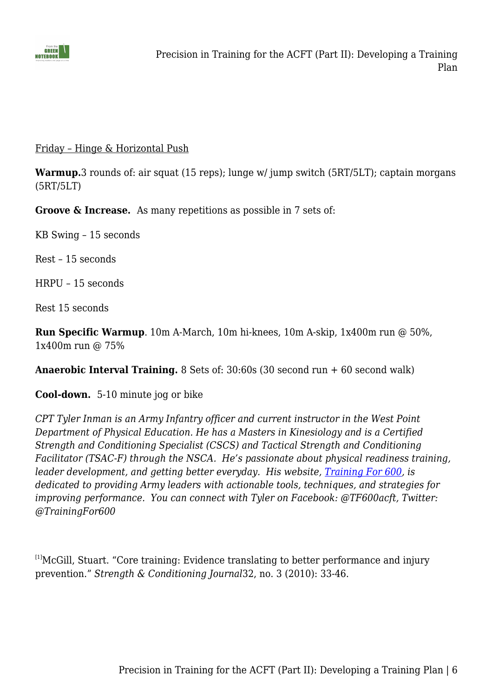

#### Friday – Hinge & Horizontal Push

**Warmup.**3 rounds of: air squat (15 reps); lunge w/ jump switch (5RT/5LT); captain morgans (5RT/5LT)

**Groove & Increase.** As many repetitions as possible in 7 sets of:

KB Swing – 15 seconds

Rest – 15 seconds

HRPU – 15 seconds

Rest 15 seconds

**Run Specific Warmup**. 10m A-March, 10m hi-knees, 10m A-skip, 1x400m run @ 50%, 1x400m run @ 75%

**Anaerobic Interval Training.** 8 Sets of: 30:60s (30 second run + 60 second walk)

**Cool-down.** 5-10 minute jog or bike

*CPT Tyler Inman is an Army Infantry officer and current instructor in the West Point Department of Physical Education. He has a Masters in Kinesiology and is a Certified Strength and Conditioning Specialist (CSCS) and Tactical Strength and Conditioning Facilitator (TSAC-F) through the NSCA. He's passionate about physical readiness training, leader development, and getting better everyday. His website, [Training For 600](http://armycombatfitnesstest.com/), is dedicated to providing Army leaders with actionable tools, techniques, and strategies for improving performance. You can connect with Tyler on Facebook: @TF600acft, Twitter: @TrainingFor600*

 $[1]$ McGill, Stuart. "Core training: Evidence translating to better performance and injury prevention." *Strength & Conditioning Journal*32, no. 3 (2010): 33-46.